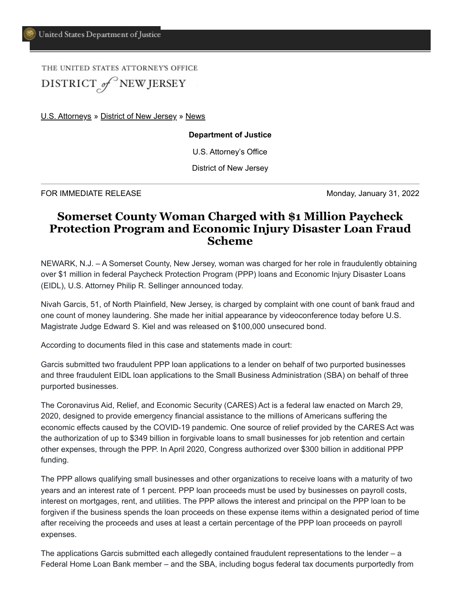THE UNITED STATES ATTORNEY'S OFFICE DISTRICT of NEW JERSEY

[U.S. Attorneys](https://www.justice.gov/usao) » [District of New Jersey](https://www.justice.gov/usao-nj) » [News](https://www.justice.gov/usao-nj/pr)

**Department of Justice**

U.S. Attorney's Office

District of New Jersey

FOR IMMEDIATE RELEASE **Monday, January 31, 2022** 

## **Somerset County Woman Charged with \$1 Million Paycheck Protection Program and Economic Injury Disaster Loan Fraud Scheme**

NEWARK, N.J. – A Somerset County, New Jersey, woman was charged for her role in fraudulently obtaining over \$1 million in federal Paycheck Protection Program (PPP) loans and Economic Injury Disaster Loans (EIDL), U.S. Attorney Philip R. Sellinger announced today.

Nivah Garcis, 51, of North Plainfield, New Jersey, is charged by complaint with one count of bank fraud and one count of money laundering. She made her initial appearance by videoconference today before U.S. Magistrate Judge Edward S. Kiel and was released on \$100,000 unsecured bond.

According to documents filed in this case and statements made in court:

Garcis submitted two fraudulent PPP loan applications to a lender on behalf of two purported businesses and three fraudulent EIDL loan applications to the Small Business Administration (SBA) on behalf of three purported businesses.

The Coronavirus Aid, Relief, and Economic Security (CARES) Act is a federal law enacted on March 29, 2020, designed to provide emergency financial assistance to the millions of Americans suffering the economic effects caused by the COVID-19 pandemic. One source of relief provided by the CARES Act was the authorization of up to \$349 billion in forgivable loans to small businesses for job retention and certain other expenses, through the PPP. In April 2020, Congress authorized over \$300 billion in additional PPP funding.

The PPP allows qualifying small businesses and other organizations to receive loans with a maturity of two years and an interest rate of 1 percent. PPP loan proceeds must be used by businesses on payroll costs, interest on mortgages, rent, and utilities. The PPP allows the interest and principal on the PPP loan to be forgiven if the business spends the loan proceeds on these expense items within a designated period of time after receiving the proceeds and uses at least a certain percentage of the PPP loan proceeds on payroll expenses.

The applications Garcis submitted each allegedly contained fraudulent representations to the lender – a Federal Home Loan Bank member – and the SBA, including bogus federal tax documents purportedly from